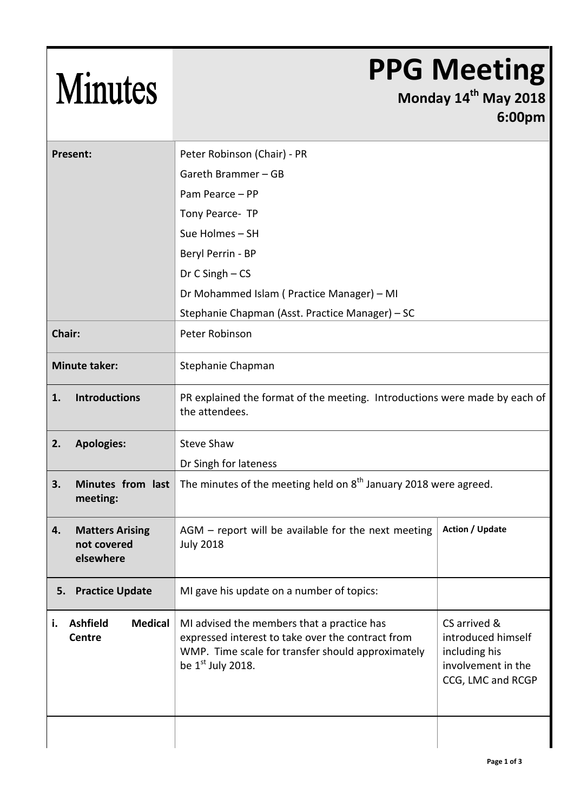| <b>Minutes</b>                                           | <b>PPG Meeting</b><br>Monday 14th May 2018<br>6:00pm                                                                                                                        |                                                                                                |  |
|----------------------------------------------------------|-----------------------------------------------------------------------------------------------------------------------------------------------------------------------------|------------------------------------------------------------------------------------------------|--|
| <b>Present:</b>                                          | Peter Robinson (Chair) - PR                                                                                                                                                 |                                                                                                |  |
|                                                          | Gareth Brammer - GB                                                                                                                                                         |                                                                                                |  |
|                                                          | Pam Pearce - PP                                                                                                                                                             |                                                                                                |  |
|                                                          | Tony Pearce- TP                                                                                                                                                             |                                                                                                |  |
|                                                          | Sue Holmes - SH                                                                                                                                                             |                                                                                                |  |
|                                                          | Beryl Perrin - BP                                                                                                                                                           |                                                                                                |  |
|                                                          | Dr C Singh - CS                                                                                                                                                             |                                                                                                |  |
|                                                          | Dr Mohammed Islam (Practice Manager) - MI                                                                                                                                   |                                                                                                |  |
|                                                          | Stephanie Chapman (Asst. Practice Manager) - SC                                                                                                                             |                                                                                                |  |
| Chair:                                                   | Peter Robinson                                                                                                                                                              |                                                                                                |  |
| <b>Minute taker:</b>                                     | Stephanie Chapman                                                                                                                                                           |                                                                                                |  |
| <b>Introductions</b><br>1.                               | PR explained the format of the meeting. Introductions were made by each of<br>the attendees.                                                                                |                                                                                                |  |
| <b>Apologies:</b><br>2.                                  | <b>Steve Shaw</b>                                                                                                                                                           |                                                                                                |  |
|                                                          | Dr Singh for lateness                                                                                                                                                       |                                                                                                |  |
| 3.<br>Minutes from last<br>meeting:                      | The minutes of the meeting held on 8 <sup>th</sup> January 2018 were agreed.                                                                                                |                                                                                                |  |
| <b>Matters Arising</b><br>4.<br>not covered<br>elsewhere | $AGM$ – report will be available for the next meeting<br><b>July 2018</b>                                                                                                   | <b>Action / Update</b>                                                                         |  |
| <b>Practice Update</b><br>5.                             | MI gave his update on a number of topics:                                                                                                                                   |                                                                                                |  |
| <b>Ashfield</b><br><b>Medical</b><br>i.<br>Centre        | MI advised the members that a practice has<br>expressed interest to take over the contract from<br>WMP. Time scale for transfer should approximately<br>be $1st$ July 2018. | CS arrived &<br>introduced himself<br>including his<br>involvement in the<br>CCG, LMC and RCGP |  |
|                                                          |                                                                                                                                                                             |                                                                                                |  |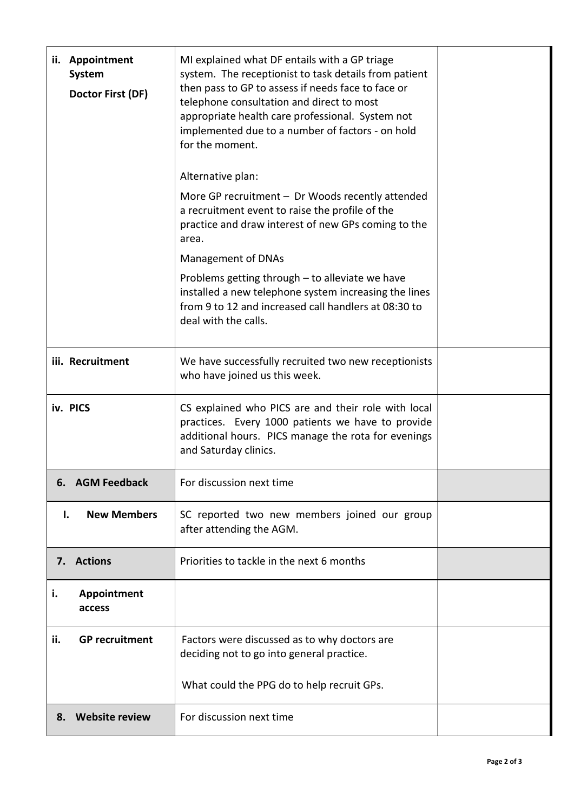| ii. Appointment<br>System<br>Doctor First (DF) | MI explained what DF entails with a GP triage<br>system. The receptionist to task details from patient<br>then pass to GP to assess if needs face to face or<br>telephone consultation and direct to most<br>appropriate health care professional. System not<br>implemented due to a number of factors - on hold<br>for the moment.<br>Alternative plan: |  |
|------------------------------------------------|-----------------------------------------------------------------------------------------------------------------------------------------------------------------------------------------------------------------------------------------------------------------------------------------------------------------------------------------------------------|--|
|                                                | More GP recruitment $-$ Dr Woods recently attended<br>a recruitment event to raise the profile of the<br>practice and draw interest of new GPs coming to the<br>area.                                                                                                                                                                                     |  |
|                                                | Management of DNAs<br>Problems getting through - to alleviate we have<br>installed a new telephone system increasing the lines<br>from 9 to 12 and increased call handlers at 08:30 to<br>deal with the calls.                                                                                                                                            |  |
| iii. Recruitment                               | We have successfully recruited two new receptionists<br>who have joined us this week.                                                                                                                                                                                                                                                                     |  |
| iv. PICS                                       | CS explained who PICS are and their role with local<br>practices. Every 1000 patients we have to provide<br>additional hours. PICS manage the rota for evenings<br>and Saturday clinics.                                                                                                                                                                  |  |
| <b>AGM Feedback</b><br>6.                      | For discussion next time                                                                                                                                                                                                                                                                                                                                  |  |
| <b>New Members</b><br>ı.                       | SC reported two new members joined our group<br>after attending the AGM.                                                                                                                                                                                                                                                                                  |  |
| 7. Actions                                     | Priorities to tackle in the next 6 months                                                                                                                                                                                                                                                                                                                 |  |
| i.<br>Appointment<br>access                    |                                                                                                                                                                                                                                                                                                                                                           |  |
| <b>GP</b> recruitment<br>ii.                   | Factors were discussed as to why doctors are<br>deciding not to go into general practice.                                                                                                                                                                                                                                                                 |  |
|                                                | What could the PPG do to help recruit GPs.                                                                                                                                                                                                                                                                                                                |  |
| <b>Website review</b><br>8.                    | For discussion next time                                                                                                                                                                                                                                                                                                                                  |  |